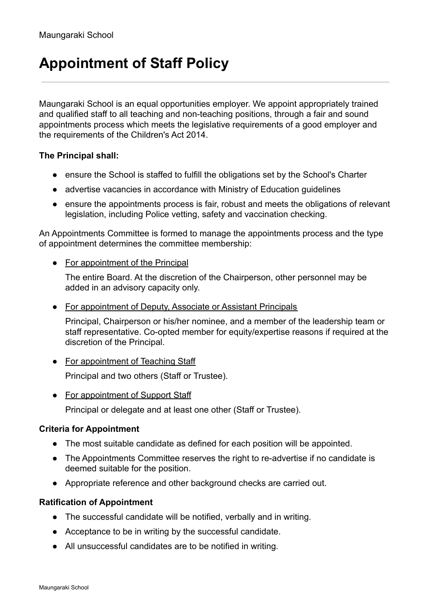# **Appointment of Staff Policy**

Maungaraki School is an equal opportunities employer. We appoint appropriately trained and qualified staff to all teaching and non-teaching positions, through a fair and sound appointments process which meets the legislative requirements of a good employer and the requirements of the Children's Act 2014.

## **The Principal shall:**

- ensure the School is staffed to fulfill the obligations set by the School's Charter
- advertise vacancies in accordance with Ministry of Education guidelines
- ensure the appointments process is fair, robust and meets the obligations of relevant legislation, including Police vetting, safety and vaccination checking.

An Appointments Committee is formed to manage the appointments process and the type of appointment determines the committee membership:

• For appointment of the Principal

The entire Board. At the discretion of the Chairperson, other personnel may be added in an advisory capacity only.

• For appointment of Deputy, Associate or Assistant Principals

Principal, Chairperson or his/her nominee, and a member of the leadership team or staff representative. Co-opted member for equity/expertise reasons if required at the discretion of the Principal.

- For appointment of Teaching Staff Principal and two others (Staff or Trustee).
- For appointment of Support Staff

Principal or delegate and at least one other (Staff or Trustee).

### **Criteria for Appointment**

- The most suitable candidate as defined for each position will be appointed.
- The Appointments Committee reserves the right to re-advertise if no candidate is deemed suitable for the position.
- Appropriate reference and other background checks are carried out.

#### **Ratification of Appointment**

- The successful candidate will be notified, verbally and in writing.
- Acceptance to be in writing by the successful candidate.
- All unsuccessful candidates are to be notified in writing.